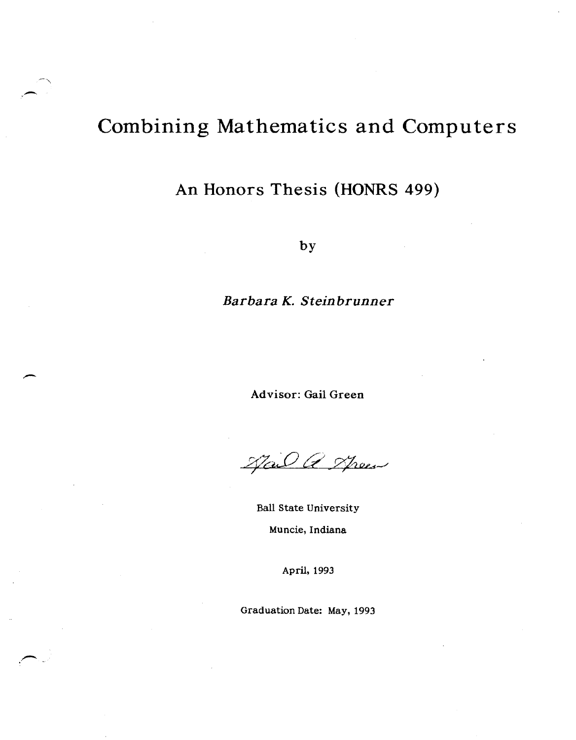# Combining Mathematics and Computers

 $\overline{\phantom{a}}$ -,

## An Honors Thesis (HONRS 499)

by

### *Barbara K. Steinbrunner*

Ad visor: Gail Green

Nail a Speer

Ball State University Muncie, Indiana

April, 1993

Graduation Date: May, 1993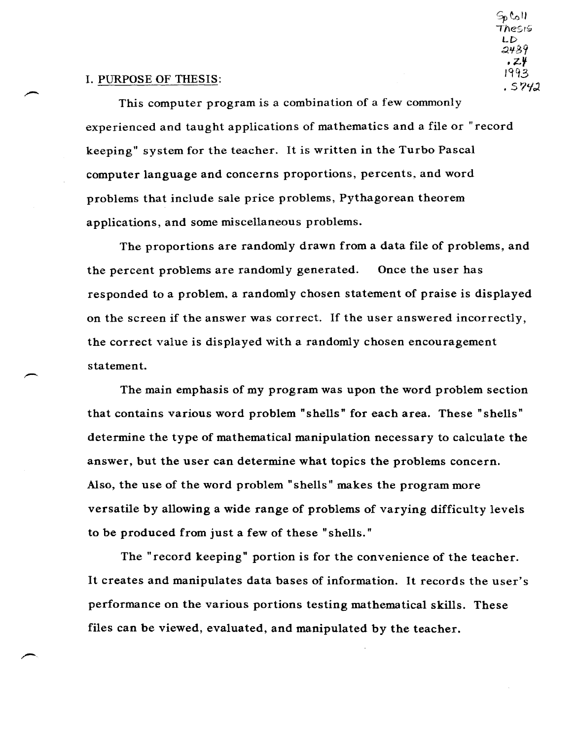#### I. PURPOSE OF THESIS:

This computer program is a combination of a few commonly experienced and taught applications of mathematics and a file or "record keeping" system for the teacher. It is written in the Turbo Pascal computer language and concerns proportions, percents, and word problems that include sale price problems, Pythagorean theorem applications, and some miscellaneous problems.

 $\epsilon_{p}$ call TheS,S;  $LD$ 2489 <sup>f</sup>Z¥ 19q3 . s 7tfJ

The proportions are randomly drawn from a data file of problems, and the percent problems are randomly generated. Once the user has responded to a problem, a randomly chosen statement of praise is displayed on the screen if the answer was correct. If the user answered incorrectly, the correct value is displayed with a randomly chosen encouragement statement.

The main emphasis of my program was upon the word problem section that contains various word problem" shells" for each area. These" shells" determine the type of mathematical manipulation necessary to calculate the answer, but the user can determine what topics the problems concern. Also, the use of the word problem" shells" makes the program more versatile by allowing a wide range of problems of varying difficulty levels to be produced from just a few of these" shells."

The "record keeping" portion is for the convenience of the teacher. It creates and manipulates data bases of information. It records the user's performance on the various portions testing mathematical skills. These files can be viewed, evaluated, and manipulated by the teacher.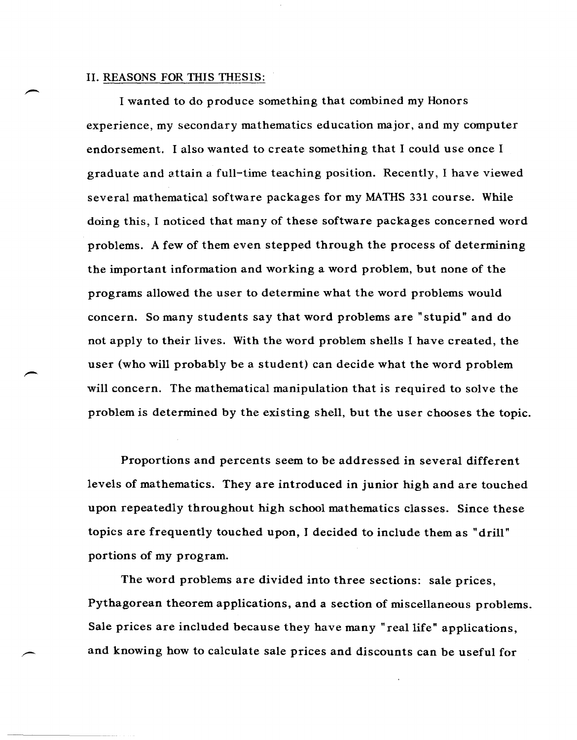#### II. REASONS FOR THIS THESIS:

I wanted to do produce something that combined my Honors experience, my secondary mathematics education major, and my computer endorsement. I also wanted to create something that I could use once I graduate and attain a full-time teaching position. Recently, I have viewed several mathematical software packages for my MATHS 331 course. While doing this, I noticed that many of these software packages concerned word problems. A few of them even stepped through the process of determining the important information and working a word problem, but none of the programs allowed the user to determine what the word problems would concern. So many students say that word problems are" stupid" and do not apply to their lives. With the word problem shells I have created, the user (who will probably be a student) can decide what the word problem will concern. The mathematical manipulation that is required to solve the problem is determined by the existing shell, but the user chooses the topic.

Proportions and percents seem to be addressed in several different levels of mathematics. They are introduced in junior high and are touched upon repeatedly throughout high school mathematics classes. Since these topics are frequently touched upon, J decided to include them as "drill" portions of my program.

The word problems are divided into three sections: sale prices, Pythagorean theorem applications, and a section of miscellaneous problems. Sale prices are included because they have many "real life" applications, and knowing how to calculate sale prices and discounts can be useful for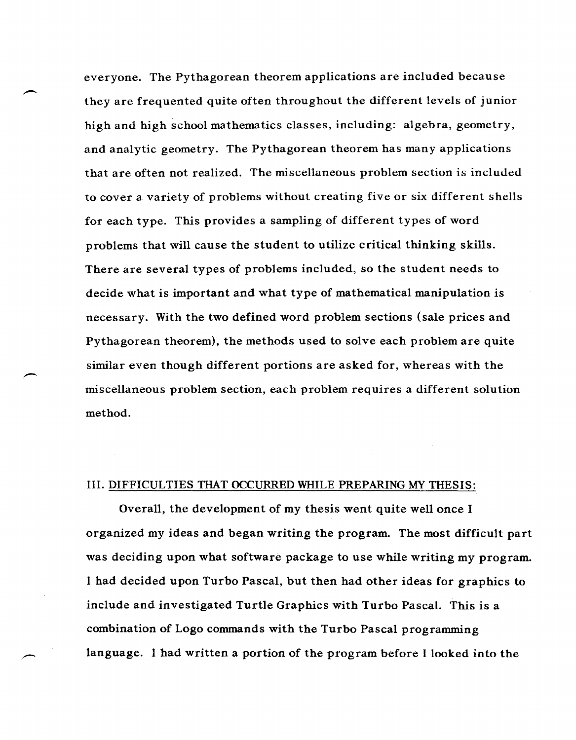everyone. The Pythagorean theorem applications are included because they are frequented quite often throughout the different levels of junior high and high school mathematics classes, including: algebra, geometry, and analytic geometry. The Pythagorean theorem has many applications that are often not realized. The miscellaneous problem section is included to cover a variety of problems without creating five or six different shells for each type. This provides a sampling of different types of word problems that will cause the student to utilize critical thinking skills. There are several types of problems included, so the student needs to decide what is important and what type of mathematical manipulation is necessary. With the two defined word problem sections (sale prices and Pythagorean theorem), the methods used to solve each problem are quite similar even though different portions are asked for, whereas with the miscellaneous problem section, each problem requires a different solution method.

#### III. DIFFICULTIES TIIAT OCCURRED WHILE PREPARING MY THESIS:

.-

.-

Overall, the development of my thesis went quite well once I organized my ideas and began writing the program. The most difficult part was deciding upon what software package to use while writing my program. I had decided upon Turbo Pascal, but then had other ideas for graphics to include and investigated Turtle Graphics with Turbo Pascal. This is a combination of Logo commands with the Turbo Pascal programming language. I had written a portion of the program before I looked into the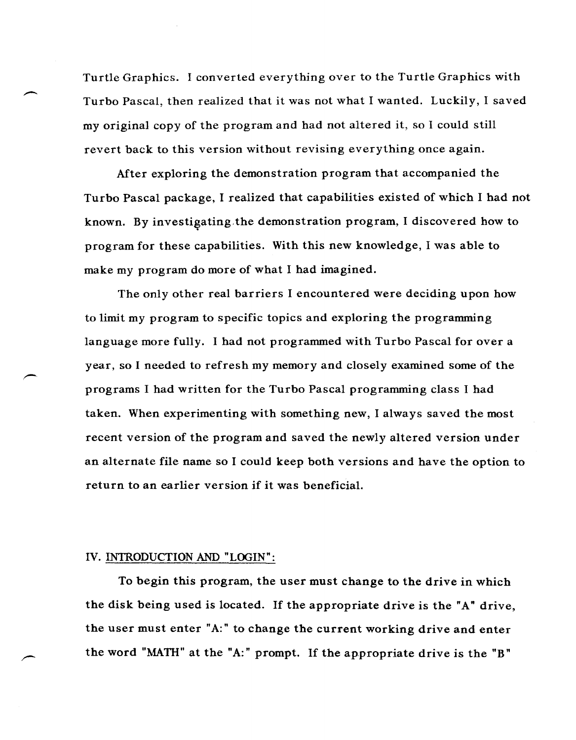Turtle Graphics. I converted everything over to the Turtle Graphics with Turbo Pascal, then realized that it was not what I wanted. Luckily, I saved my original copy of the program and had not altered it, so I could still revert back to this version without revising everything once again.

After exploring the demonstration program that accompanied the Turbo Pascal package, I realized that capabilities existed of which I had not known. By investigating the demonstration program, I discovered how to program for these capabilities. With this new knowledge, I was able to make my program do more of what I had imagined.

The only other real barriers I encountered were deciding upon how to limit my program to specific topics and exploring the programming language more fully. I had not programmed with Turbo Pascal for over a year, so I needed to refresh my memory and closely examined some of the programs I had written for the Turbo Pascal programming class I had taken. When experimenting with something new, I always saved the most recent version of the program and saved the newly altered version under an alternate file name so I could keep both versions and have the option to return to an earlier version if it was beneficial.

#### IV. IN1RODUCTION AND "LOGIN":

.~

To begin this program, the user must change to the drive in which the disk being used is located. If the appropriate drive is the "A" drive, the user must enter "A:" to change the current working drive and enter the word "MATH" at the "A:" prompt. If the appropriate drive is the "B"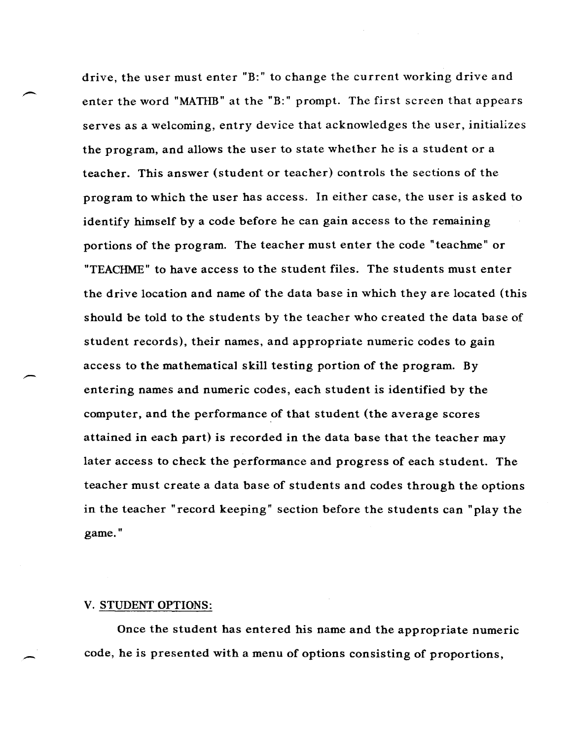drive, the user must enter "B:" to change the current working drive and enter the word "MATHB" at the "B:" prompt. The first screen that appears serves as a welcoming, entry device that acknowledges the user, initializes the program, and allows the user to state whether he is a student or a teacher. This answer (student or teacher) controls the sections of the program to which the user has access. In either case, the user is asked to identify himself by a code before he can gain access to the remaining portions of the program. The teacher must enter the code "teachme" or "TEACHME" to have access to the student files. The students must enter the drive location and name of the data base in which they are located (this should be told to the students by the teacher who created the data base of student records), their names, and appropriate numeric codes to gain access to the mathematical skill testing portion of the program. By entering names and numeric codes, each student is identified by the computer, and the performance of that student (the average scores attained in each part) is recorded in the data base that the teacher may later access to check the performance and progress of each student. The teacher must create a data base of students and codes through the options in the teacher "record keeping" section before the students can "play the game."

#### V. STUDENT OPTIONS:

-

Once the student has entered his name and the appropriate numeric code, he is presented with a menu of options consisting of proportions,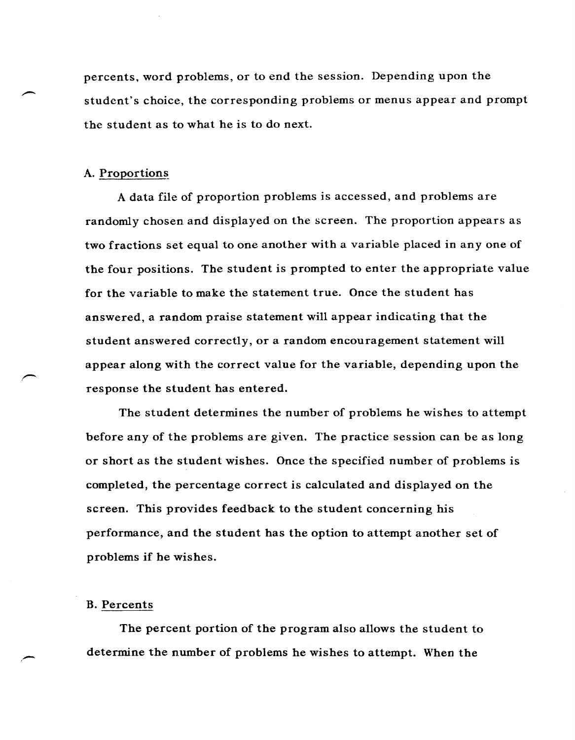percents. word problems, or to end the session. Depending upon the student's choice, the corresponding problems or menus appear and prompt the student as to what he is to do next.

#### A. Proportions

A data file of proportion problems is accessed, and problems are randomly chosen and displayed on the screen. The proportion appears as two fractions set equal to one another with a variable placed in anyone of the four positions. The student is prompted to enter the appropriate value for the variable to make the statement true. Once the student has answered, a random praise statement will appear indicating that the student answered correctly, or a random encouragement statement will appear along with the correct value for the variable, depending upon the response the student has entered.

The student determines the number of problems he wishes to attempt before any of the problems are given. The practice session can be as long or short as the student wishes. Once the specified number of problems is completed, the percentage correct is calculated and displayed on the screen. This provides feedback to the student concerning his performance, and the student has the option to attempt another set of problems if be wishes.

#### B. Percents

The percent portion of the program also allows the student to determine the number of problems he wishes to attempt. When the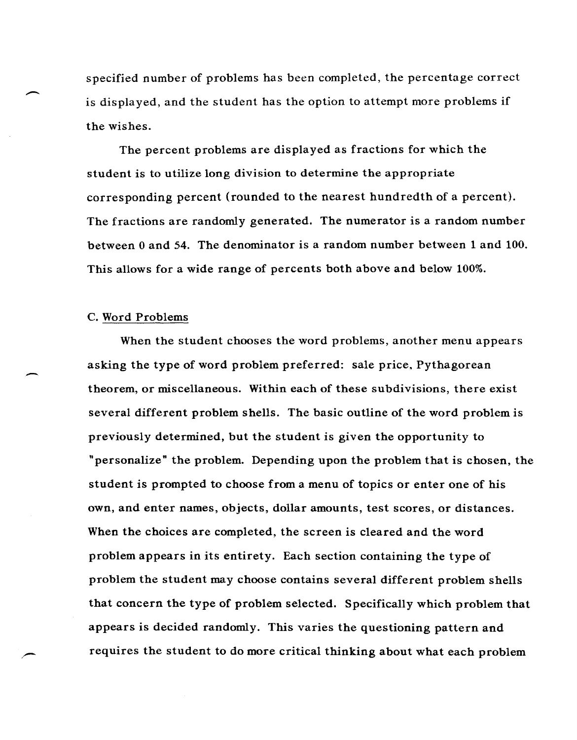specified number of problems has been completed, the percentage correct is displayed, and the student has the option to attempt more problems if the wishes.

The percent problems are displayed as fractions for which the student is to utilize long division to determine the appropriate corresponding percent (rounded to the nearest hundredth of a percent). The fractions are randomly generated. The numerator is a random number between 0 and 54. The denominator is a random number between 1 and 100. This allows for a wide range of percents both above and below 100%.

#### c. Word Problems

 $\overline{\phantom{0}}$ 

-

When the student chooses the word problems, another menu appears asking the type of word problem preferred: sale price, Pythagorean theorem, or miscellaneous. Within each of these subdivisions, there exist several different problem shells. The basic outline of the word problem is previously determined, but the student is given the opportunity to "personalize" the problem. Depending upon the problem that is chosen, the student is prompted to choose from a menu of topics or enter one of his own, and enter names, objects, dollar amounts, test scores, or distances. When the choices are completed, the screen is cleared and the word problem appears in its entirety. Each section containing the type of problem the student may choose contains several different problem shells that concern the type of problem selected. Specifically which problem that appears is decided randomly. This varies the questioning pattern and requires the student to do more critical thinking about what each problem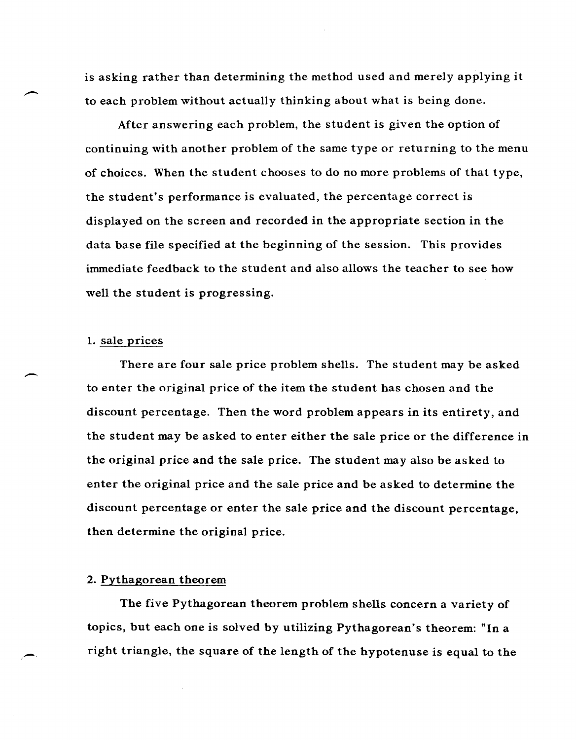is asking rather than determining the method used and merely applying it to each problem without actually thinking about what is being done.

After answering each problem, the student is given the option of continuing with another problem of the same type or returning to the menu of choices. When the student chooses to do no more problems of that type, the student's performance is evaluated, the percentage correct is displayed on the screen and recorded in the appropriate section in the data base file specified at the beginning of the session. This provides immediate feedback to the student and also allows the teacher to see how well the student is progressing.

#### 1. sale prices

 $\overline{\phantom{a}}$ 

 $\overline{\phantom{0}}$ 

There are four sale price problem shells. The student may be asked to enter the original price of the item the student has chosen and the discount percentage. Then the word problem appears in its entirety, and the student may be asked to enter either the sale price or the difference in the original price and the sale price. The student may also be asked to enter the original price and the sale price and be asked to determine the discount percentage or enter the sale price and the discount percentage, then determine the original price.

#### 2. Pythagorean theorem

The five Pythagorean theorem problem shells concern a variety of topics, but each one is solved by utilizing Pythagorean's theorem: "In a right triangle, the square of the length of the hypotenuse is equal to the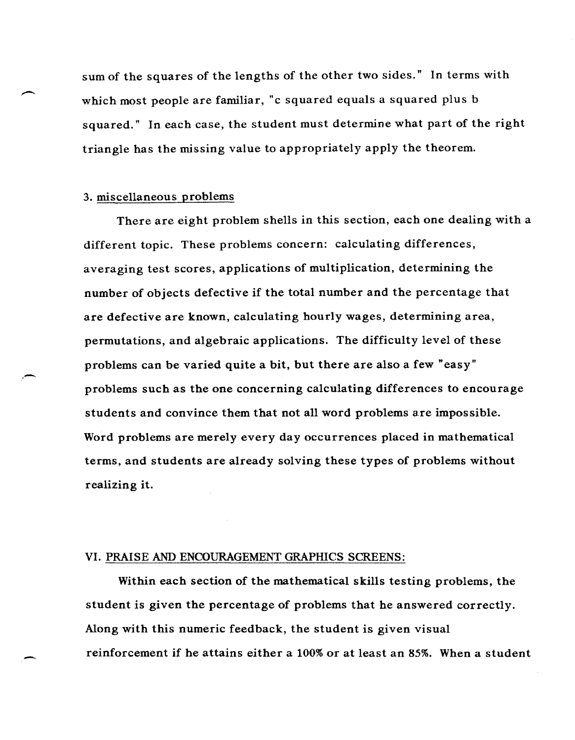sum of the squares of the lengths of the other two sides." In terms with which most people are familiar, "c squared equals a squared plus b squared." In each case, the student must determine what part of the right triangle has the missing value to appropriately apply the theorem.

#### 3. miscellaneous problems

,-

-

There are eight problem shells in this section, each one dealing with a different topic. These problems concern: calculating differences, averaging test scores, applications of multiplication, determining the number of objects defective if the total number and the percentage that are defective are known, calculating hourly wages, determining area, permutations, and algebraic applications. The difficulty level of these problems can be varied quite a bit, but there are also a few "easy" problems such as the one concerning calculating differences to encourage students and convince them that not all word problems are impossible. Word problems are merely every day occurrences placed in mathematical terms, and students are already solving these types of problems without realizing it.

#### VI. PRAISE AND ENCOURAGEMENT GRAPHICS SCREENS:

Within each section of the mathematical skills testing problems, the student is given the percentage of problems that he answered correctly. Along with this numeric feedback, the student is given visual reinforcement if he attains either a 100% or at least an 85%. When a student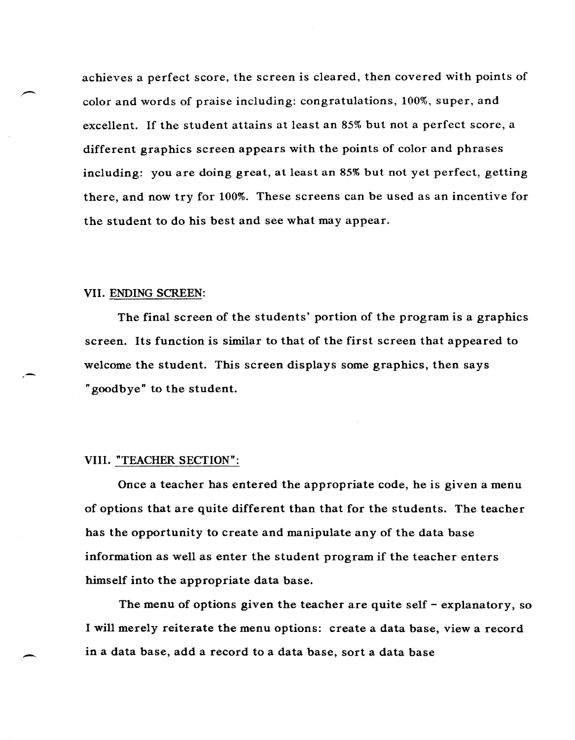achieves a perfect score, the screen is cleared, then covered with points of color and words of praise including: congratulations, 100%, super, and excellent. If the student attains at least an 85% but not a perfect score, a different graphics screen appears with the points of color and phrases including: you are doing great, at least an 85% but not yet perfect, getting there, and now try for 100%. These screens can be used as an incentive for the student to do his best and see what may appear.

#### VII. ENDING SCREEN:

,-

--

The final screen of the students' portion of the program is a graphics screen. Its function is similar to that of the first screen that appeared to welcome the student. This screen displays some graphics, then says "goodbye" to the student.

#### VIII. "TEACHER SECTION":

Once a teacher has entered the appropriate code, he is given a menu of options that are quite different than that for the students. The teacher has the opportunity to create and manipulate any of the data base information as well as enter the student program if the teacher enters himself into the appropriate data base.

The menu of options given the teacher are quite self - explanatory, so I will merely reiterate the menu options: create a data base, view a record in a data base, add a record to a data base, sort a data base